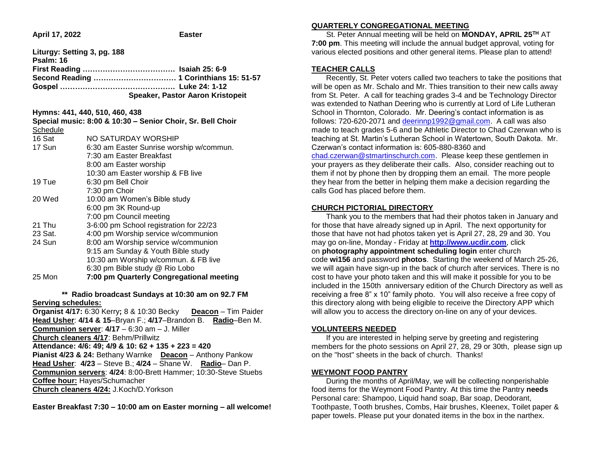**April 17, 2022 Easter** 

| Liturgy: Setting 3, pg. 188<br>Psalm: 16<br>Second Reading  1 Corinthians 15: 51-57<br>Speaker, Pastor Aaron Kristopeit |                                                            |
|-------------------------------------------------------------------------------------------------------------------------|------------------------------------------------------------|
|                                                                                                                         | Hymns: 441, 440, 510, 460, 438                             |
|                                                                                                                         | Special music: 8:00 & 10:30 - Senior Choir, Sr. Bell Choir |
| Schedule                                                                                                                |                                                            |
| 16 Sat                                                                                                                  | NO SATURDAY WORSHIP                                        |
| 17 Sun                                                                                                                  | 6:30 am Easter Sunrise worship w/commun.                   |
|                                                                                                                         | 7:30 am Easter Breakfast                                   |
|                                                                                                                         | 8:00 am Easter worship                                     |
|                                                                                                                         | 10:30 am Easter worship & FB live                          |
| 19 Tue                                                                                                                  | 6:30 pm Bell Choir                                         |
|                                                                                                                         | 7:30 pm Choir                                              |
| 20 Wed                                                                                                                  | 10:00 am Women's Bible study                               |
|                                                                                                                         | 6:00 pm 3K Round-up                                        |
|                                                                                                                         | 7:00 pm Council meeting                                    |
| 21 Thu                                                                                                                  | 3-6:00 pm School registration for 22/23                    |

| 25 Mon  | 7:00 pm Quarterly Congregational meeting |
|---------|------------------------------------------|
|         | 6:30 pm Bible study @ Rio Lobo           |
|         | 10:30 am Worship w/commun. & FB live     |
|         | 9:15 am Sunday & Youth Bible study       |
| 24 Sun  | 8:00 am Worship service w/communion      |
| 23 Sat. | 4:00 pm Worship service w/communion      |

# **\*\* Radio broadcast Sundays at 10:30 am on 92.7 FM Serving schedules:**

**Organist 4/17:** 6:30 Kerry**;** 8 & 10:30 Becky **Deacon** – Tim Paider **Head Usher**: **4/14 & 15**–Bryan F.; **4/17**–Brandon B. **Radio**–Ben M. **Communion server**: **4/17** – 6:30 am – J. Miller **Church cleaners 4/17**: Behm/Prillwitz **Attendance: 4/6: 49; 4/9 & 10: 62 + 135 + 223 = 420 Pianist 4/23 & 24:** Bethany Warnke **Deacon** – Anthony Pankow **Head Usher**: **4/23** – Steve B.; **4/24** – Shane W. **Radio**– Dan P. **Communion servers**: **4/24**: 8:00-Brett Hammer; 10:30-Steve Stuebs **Coffee hour:** Hayes/Schumacher **Church cleaners 4/24:** J.Koch/D.Yorkson

**Easter Breakfast 7:30 – 10:00 am on Easter morning – all welcome!**

#### **QUARTERLY CONGREGATIONAL MEETING**

 St. Peter Annual meeting will be held on **MONDAY, APRIL 25TH** AT **7:00 pm**. This meeting will include the annual budget approval, voting for various elected positions and other general items. Please plan to attend!

# **TEACHER CALLS**

 Recently, St. Peter voters called two teachers to take the positions that will be open as Mr. Schalo and Mr. Thies transition to their new calls away from St. Peter. A call for teaching grades 3-4 and be Technology Director was extended to Nathan Deering who is currently at Lord of Life Lutheran School in Thornton, Colorado. Mr. Deering's contact information is as follows: 720-620-2071 and [deerinnp1992@gmail.com.](mailto:deerinnp1992@gmail.com) A call was also made to teach grades 5-6 and be Athletic Director to Chad Czerwan who is teaching at St. Martin's Lutheran School in Watertown, South Dakota. Mr. Czerwan's contact information is: 605-880-8360 and [chad.czerwan@stmartinschurch.com.](mailto:chad.czerwan@stmartinschurch.com) Please keep these gentlemen in your prayers as they deliberate their calls. Also, consider reaching out to them if not by phone then by dropping them an email. The more people they hear from the better in helping them make a decision regarding the calls God has placed before them.

# **CHURCH PICTORIAL DIRECTORY**

 Thank you to the members that had their photos taken in January and for those that have already signed up in April. The next opportunity for those that have not had photos taken yet is April 27, 28, 29 and 30. You may go on-line, Monday - Friday at **[http://www.ucdir.com](https://linkprotect.cudasvc.com/url?a=http%3a%2f%2fwww.ucdir.com&c=E,1,_5ddtxHGD3Z1cUfJORDFagPMaIeEtx8iYl2IlGFmCbj6LmCTfDnRAG6IbNtgiChQlnu3g-k94_gyS5yw-dDSPD3k0ZkWPKYfSKdVplYT2gQ,&typo=1&ancr_add=1)**, click on **photography appointment scheduling login** enter church code **wi156** and password **photos**. Starting the weekend of March 25-26, we will again have sign-up in the back of church after services. There is no cost to have your photo taken and this will make it possible for you to be included in the 150th anniversary edition of the Church Directory as well as receiving a free 8" x 10" family photo. You will also receive a free copy of this directory along with being eligible to receive the Directory APP which will allow you to access the directory on-line on any of your devices.

# **VOLUNTEERS NEEDED**

 If you are interested in helping serve by greeting and registering members for the photo sessions on April 27, 28, 29 or 30th, please sign up on the "host" sheets in the back of church. Thanks!

## **WEYMONT FOOD PANTRY**

 During the months of April/May, we will be collecting nonperishable food items for the Weymont Food Pantry. At this time the Pantry **needs**  Personal care: Shampoo, Liquid hand soap, Bar soap, Deodorant, Toothpaste, Tooth brushes, Combs, Hair brushes, Kleenex, Toilet paper & paper towels. Please put your donated items in the box in the narthex.